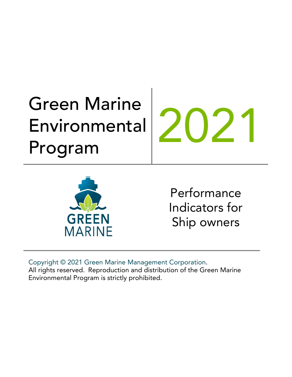# Green Marine Environmental Environmental 202<br>Program



Performance Indicators for Ship owners

Copyright © 2021 Green Marine Management Corporation. All rights reserved. Reproduction and distribution of the Green Marine Environmental Program is strictly prohibited.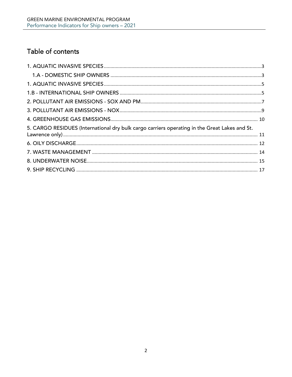# Table of contents

| 5. CARGO RESIDUES (International dry bulk cargo carriers operating in the Great Lakes and St. |  |
|-----------------------------------------------------------------------------------------------|--|
|                                                                                               |  |
|                                                                                               |  |
|                                                                                               |  |
|                                                                                               |  |
|                                                                                               |  |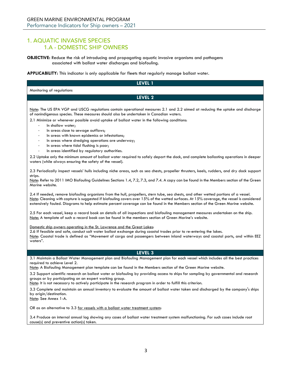# <span id="page-2-1"></span><span id="page-2-0"></span>1. AQUATIC INVASIVE SPECIES 1.A - DOMESTIC SHIP OWNERS

**OBJECTIVE:** Reduce the risk of introducing and propagating aquatic invasive organisms and pathogens associated with ballast water discharges and biofouling.

**APPLICABILITY:** This indicator is only applicable for fleets that regularly manage ballast water.

| LEVEL 1                                                                                                                                                                                                                                                                                                                                                                                                             |
|---------------------------------------------------------------------------------------------------------------------------------------------------------------------------------------------------------------------------------------------------------------------------------------------------------------------------------------------------------------------------------------------------------------------|
| Monitoring of regulations                                                                                                                                                                                                                                                                                                                                                                                           |
| LEVEL 2                                                                                                                                                                                                                                                                                                                                                                                                             |
|                                                                                                                                                                                                                                                                                                                                                                                                                     |
| Note: The US EPA VGP and USCG regulations contain operational measures 2.1 and 2.2 aimed at reducing the uptake and discharge<br>of nonindigenous species. These measures should also be undertaken in Canadian waters.                                                                                                                                                                                             |
| 2.1 Minimize or whenever possible avoid uptake of ballast water in the following conditions:<br>In shallow water;                                                                                                                                                                                                                                                                                                   |
| In areas close to sewage outflows;<br>$\overline{\phantom{a}}$                                                                                                                                                                                                                                                                                                                                                      |
| In areas with known epidemics or infestations;<br>$\overline{\phantom{a}}$                                                                                                                                                                                                                                                                                                                                          |
| In areas where dredging operations are underway;<br>$\overline{\phantom{a}}$                                                                                                                                                                                                                                                                                                                                        |
| In areas where tidal flushing is poor;<br>$\overline{\phantom{a}}$<br>In areas identified by regulatory authorities.<br>$\overline{\phantom{m}}$                                                                                                                                                                                                                                                                    |
|                                                                                                                                                                                                                                                                                                                                                                                                                     |
| 2.2 Uptake only the minimum amount of ballast water required to safely depart the dock, and complete ballasting operations in deeper<br>waters (while always ensuring the safety of the vessel).                                                                                                                                                                                                                    |
| 2.3 Periodically inspect vessels' hulls including niche areas, such as sea chests, propeller thrusters, keels, rudders, and dry dock support<br>strips.                                                                                                                                                                                                                                                             |
| Note: Refer to 2011 IMO Biofouling Guidelines Sections 1.4, 7.2, 7.3, and 7.4. A copy can be found in the Members section of the Green<br>Marine website.                                                                                                                                                                                                                                                           |
| 2.4 If needed, remove biofouling organisms from the hull, propellers, stern tube, sea chests, and other wetted portions of a vessel.<br>Note: Cleaning with capture is suggested if biofouling covers over 15% of the wetted surfaces. At 15% coverage, the vessel is considered<br>extensively fouled. Diagrams to help estimate percent coverage can be found in the Members section of the Green Marine website. |
| 2.5 For each vessel, keep a record book on details of all inspections and biofouling management measures undertaken on the ship.<br>Note: A template of such a record book can be found in the members section of Green Marine's website.                                                                                                                                                                           |
| Domestic ship owners operating in the St. Lawrence and the Great Lakes:<br>2.6 If feasible and safe, conduct salt water ballast exchange during coastal trades prior to re-entering the lakes.<br>Note: Coastal trade is defined as "Movement of cargo and passengers between inland waterways and coastal ports, and within EEZ<br>waters".                                                                        |
|                                                                                                                                                                                                                                                                                                                                                                                                                     |
| LEVEL 3                                                                                                                                                                                                                                                                                                                                                                                                             |
| 3.1 Maintain a Ballast Water Management plan and Biofouling Management plan for each vessel which includes all the best practices<br>required to achieve Level 2.<br>Note: A Biofouling Management plan template can be found in the Members section of the Green Marine website.                                                                                                                                   |
| 3.2 Support scientific research on ballast water or biofouling by providing access to ships for sampling by governmental and research                                                                                                                                                                                                                                                                               |
| groups or by participating on an expert working group.<br>Note: It is not necessary to actively participate in the research program in order to fulfill this criterion.                                                                                                                                                                                                                                             |
| 3.3 Complete and maintain an annual inventory to evaluate the amount of ballast water taken and discharged by the company's ships                                                                                                                                                                                                                                                                                   |
| by origin/destination.<br>Note: See Annex 1-A.                                                                                                                                                                                                                                                                                                                                                                      |
| OR as an alternative to 3.3 for vessels with a ballast water treatment system:                                                                                                                                                                                                                                                                                                                                      |
| 3.4 Produce an internal annual log showing any cases of ballast water treatment system malfunctioning. For such cases include root<br>cause(s) and preventive action(s) taken.                                                                                                                                                                                                                                      |
|                                                                                                                                                                                                                                                                                                                                                                                                                     |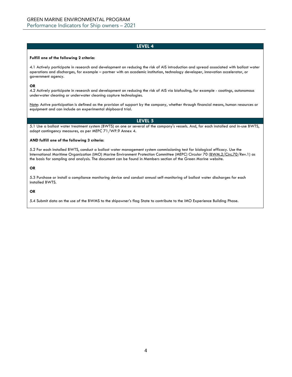### **Fulfill one of the following 2 criteria:**

4.1 Actively participate in research and development on reducing the risk of AIS introduction and spread associated with ballast water operations and discharges, for example – partner with an academic institution, technology developer, innovation accelerator, or government agency.

# **OR**

4.2 Actively participate in research and development on reducing the risk of AIS via biofouling, for example - coatings, autonomous underwater cleaning or underwater cleaning capture technologies.

Note: Active participation is defined as the provision of support by the company, whether through financial means, human resources or equipment and can include an experimental shipboard trial.

# **LEVEL 5**

5.1 Use a ballast water treatment system (BWTS) on one or several of the company's vessels. And, for each installed and in-use BWTS, adopt contingency measures, as per MEPC 71/WP.9 Annex 4.

# **AND fulfill one of the following 3 criteria:**

5.2 For each installed BWTS, conduct a ballast water management system commissioning test for biological efficacy. Use the International Maritime Organization (IMO) Marine Environment Protection Committee (MEPC) Circular 70 [\(BWM.2/Circ.70/](https://www.crclass.org/chinese/download/ti-tc/100/2-6%20BWM.2-Circ.70%20-%20Guidance%20for%20the%20commissioning%20testing%20of%20ballast%20water%20management%20systems%20%28Secretariat%29.pdf)Rev.1) as the basis for sampling and analysis. The document can be found in Members section of the Green Marine website.

# **OR**

5.3 Purchase or install a compliance monitoring device and conduct annual self-monitoring of ballast water discharges for each installed BWTS.

# **OR**

5.4 Submit data on the use of the BWMS to the shipowner's flag State to contribute to the IMO Experience Building Phase.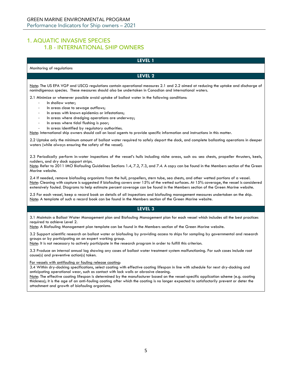# <span id="page-4-1"></span><span id="page-4-0"></span>1. AQUATIC INVASIVE SPECIES 1.B - INTERNATIONAL SHIP OWNERS

# **LEVEL 1** Monitoring of regulations **LEVEL 2** Note: The US EPA VGP and USCG regulations contain operational measures 2.1 and 2.2 aimed at reducing the uptake and discharge of nonindigenous species. These measures should also be undertaken in Canadian and international waters. 2.1 Minimize or whenever possible avoid uptake of ballast water in the following conditions: In shallow water; In areas close to sewage outflows; In areas with known epidemics or infestations; In areas where dredging operations are underway; In areas where tidal flushing is poor; In areas identified by regulatory authorities. Note: International ship owners should call on local agents to provide specific information and instructions in this matter. 2.2 Uptake only the minimum amount of ballast water required to safely depart the dock, and complete ballasting operations in deeper waters (while always ensuring the safety of the vessel). 2.3 Periodically perform in-water inspections of the vessel's hulls including niche areas, such as: sea chests, propeller thrusters, keels, rudders, and dry dock support strips. Note: Refer to 2011 IMO Biofouling Guidelines Sections 1.4, 7.2, 7.3, and 7.4. A copy can be found in the Members section of the Green Marine website. 2.4 If needed, remove biofouling organisms from the hull, propellers, stern tube, sea chests, and other wetted portions of a vessel. Note: Cleaning with capture is suggested if biofouling covers over 15% of the wetted surfaces. At 15% coverage, the vessel is considered extensively fouled. Diagrams to help estimate percent coverage can be found in the Members section of the Green Marine website. 2.5 For each vessel, keep a record book on details of all inspections and biofouling management measures undertaken on the ship. Note: A template of such a record book can be found in the Members section of the Green Marine website. **LEVEL 3** 3.1 Maintain a Ballast Water Management plan and Biofouling Management plan for each vessel which includes all the best practices required to achieve Level 2. Note: A Biofouling Management plan template can be found in the Members section of the Green Marine website. 3.2 Support scientific research on ballast water or biofouling by providing access to ships for sampling by governmental and research groups or by participating on an expert working group. Note: It is not necessary to actively participate in the research program in order to fulfill this criterion. 3.3 Produce an internal annual log showing any cases of ballast water treatment system malfunctioning. For such cases include root cause(s) and preventive action(s) taken. For vessels with antifouling or fouling release coating: 3.4 Within dry-docking specifications, select coating with effective coating lifespan in line with schedule for next dry-docking and anticipating operational wear, such as contact with lock walls or abrasive cleaning. Note: The effective coating lifespan is determined by the manufacturer based on the vessel-specific application scheme (e.g. coating thickness); it is the age of an anti-fouling coating after which the coating is no longer expected to satisfactorily prevent or deter the attachment and growth of biofouling organisms.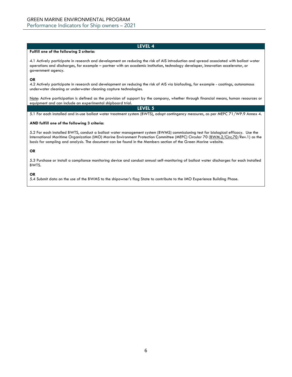### **Fulfill one of the following 2 criteria:**

4.1 Actively participate in research and development on reducing the risk of AIS introduction and spread associated with ballast water operations and discharges, for example – partner with an academic institution, technology developer, innovation accelerator, or government agency.

### **OR**

4.2 Actively participate in research and development on reducing the risk of AIS via biofouling, for example - coatings, autonomous underwater cleaning or underwater cleaning capture technologies.

Note: Active participation is defined as the provision of support by the company, whether through financial means, human resources or equipment and can include an experimental shipboard trial.

### **LEVEL 5**

5.1 For each installed and in-use ballast water treatment system (BWTS), adopt contingency measures, as per MEPC 71/WP.9 Annex 4.

## **AND fulfill one of the following 3 criteria:**

5.2 For each installed BWTS, conduct a ballast water management system (BWMS) commissioning test for biological efficacy. Use the International Maritime Organization (IMO) Marine Environment Protection Committee (MEPC) Circular 70 [\(BWM.2/Circ.70/](https://www.crclass.org/chinese/download/ti-tc/100/2-6%20BWM.2-Circ.70%20-%20Guidance%20for%20the%20commissioning%20testing%20of%20ballast%20water%20management%20systems%20%28Secretariat%29.pdf)Rev.1) as the basis for sampling and analysis. The document can be found in the Members section of the Green Marine website.

### **OR**

5.3 Purchase or install a compliance monitoring device and conduct annual self-monitoring of ballast water discharges for each installed BWTS.

# **OR**

5.4 Submit data on the use of the BWMS to the shipowner's flag State to contribute to the IMO Experience Building Phase.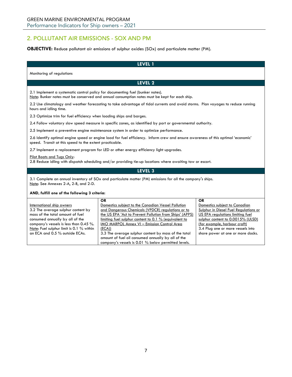# <span id="page-6-0"></span>2. POLLUTANT AIR EMISSIONS - SOX AND PM

# **OBJECTIVE:** Reduce pollutant air emissions of sulphur oxides (SOx) and particulate matter (PM).

|                                                                                                                                                                                                                                                                | LEVEL 1                                                                                                                                                                                                                                                                                                                                                                                                                                                         |                                                                                                                                                                                                                                                                        |
|----------------------------------------------------------------------------------------------------------------------------------------------------------------------------------------------------------------------------------------------------------------|-----------------------------------------------------------------------------------------------------------------------------------------------------------------------------------------------------------------------------------------------------------------------------------------------------------------------------------------------------------------------------------------------------------------------------------------------------------------|------------------------------------------------------------------------------------------------------------------------------------------------------------------------------------------------------------------------------------------------------------------------|
| Monitoring of regulations                                                                                                                                                                                                                                      |                                                                                                                                                                                                                                                                                                                                                                                                                                                                 |                                                                                                                                                                                                                                                                        |
|                                                                                                                                                                                                                                                                | <b>LEVEL 2</b>                                                                                                                                                                                                                                                                                                                                                                                                                                                  |                                                                                                                                                                                                                                                                        |
| 2.1 Implement a systematic control policy for documenting fuel (bunker notes).                                                                                                                                                                                 | Note: Bunker notes must be conserved and annual consumption notes must be kept for each ship.                                                                                                                                                                                                                                                                                                                                                                   |                                                                                                                                                                                                                                                                        |
| hours and idling time.                                                                                                                                                                                                                                         | 2.2 Use climatology and weather forecasting to take advantage of tidal currents and avoid storms. Plan voyages to reduce running                                                                                                                                                                                                                                                                                                                                |                                                                                                                                                                                                                                                                        |
| 2.3 Optimize trim for fuel efficiency when loading ships and barges.                                                                                                                                                                                           |                                                                                                                                                                                                                                                                                                                                                                                                                                                                 |                                                                                                                                                                                                                                                                        |
|                                                                                                                                                                                                                                                                | 2.4 Follow voluntary slow speed measure in specific zones, as identified by port or governmental authority.                                                                                                                                                                                                                                                                                                                                                     |                                                                                                                                                                                                                                                                        |
|                                                                                                                                                                                                                                                                | 2.5 Implement a preventive engine maintenance system in order to optimize performance.                                                                                                                                                                                                                                                                                                                                                                          |                                                                                                                                                                                                                                                                        |
| 2.6 Identify optimal engine speed or engine load for fuel efficiency. Inform crew and ensure awareness of this optimal 'economic'<br>speed. Transit at this speed to the extent practicable.                                                                   |                                                                                                                                                                                                                                                                                                                                                                                                                                                                 |                                                                                                                                                                                                                                                                        |
|                                                                                                                                                                                                                                                                | 2.7 Implement a replacement program for LED or other energy efficiency light upgrades.                                                                                                                                                                                                                                                                                                                                                                          |                                                                                                                                                                                                                                                                        |
| Pilot Boats and Tugs Only:                                                                                                                                                                                                                                     | 2.8 Reduce idling with dispatch scheduling and/or providing tie-up locations where awaiting tow or escort.                                                                                                                                                                                                                                                                                                                                                      |                                                                                                                                                                                                                                                                        |
|                                                                                                                                                                                                                                                                | LEVEL 3                                                                                                                                                                                                                                                                                                                                                                                                                                                         |                                                                                                                                                                                                                                                                        |
| 3.1 Complete an annual inventory of SOx and particulate matter (PM) emissions for all the company's ships.<br>Note: See Annexes 2-A, 2-B, and 2-D.                                                                                                             |                                                                                                                                                                                                                                                                                                                                                                                                                                                                 |                                                                                                                                                                                                                                                                        |
| AND, fulfill one of the following 3 criteria:                                                                                                                                                                                                                  |                                                                                                                                                                                                                                                                                                                                                                                                                                                                 |                                                                                                                                                                                                                                                                        |
| International ship owners<br>3.2 The average sulphur content by<br>mass of the total amount of fuel<br>consumed annually by all of the<br>company's vessels is less than 0.45 %.<br>Note: Fuel sulphur limit is 0.1 % within<br>an ECA and 0.5 % outside ECAs. | OR.<br>Domestics subject to the Canadian Vessel Pollution<br>and Dangerous Chemicals (VPDCR) regulations or to<br>the US EPA 'Act to Prevent Pollution from Ships' (APPS)<br>limiting fuel sulphur content to 0.1 % (equivalent to<br>IMO MARPOL Annex VI - Emission Control Area<br>(ECA)<br>3.3 The average sulphur content by mass of the total<br>amount of fuel oil consumed annually by all of the<br>company's vessels is 0.01 % below permitted levels. | <b>OR</b><br>Domestics subject to Canadian<br>Sulphur in Diesel Fuel Regulations or<br>US EPA regulations limiting fuel<br>sulphur content to 0.0015% (ULSD)<br>(for example, harbour craft)<br>3.4 Plug one or more vessels into<br>shore power at one or more docks. |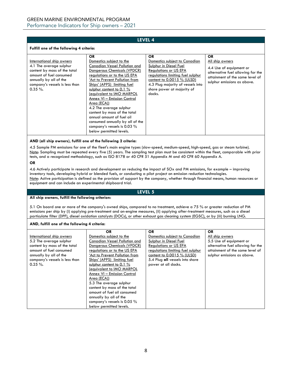# **Fulfill one of the following 4 criteria:**

| International ship owners<br>4.1 The average sulphur<br>content by mass of the total<br>amount of fuel consumed<br>annually by all of the<br>company's vessels is less than<br>$0.35 \%$ . | <b>OR</b><br>Domestics subject to the<br>Canadian Vessel Pollution and<br>Dangerous Chemicals (VPDCR)<br>regulations or to the US EPA<br>'Act to Prevent Pollution from<br>Ships' (APPS) limiting fuel<br>sulphur content to 0.1 $%$<br>(equivalent to IMO MARPOL<br>Annex VI - Emission Control<br>Area (ECA))<br>4.2 The average sulphur<br>content by mass of the total<br>annual amount of fuel oil<br>consumed annually by all of the | <b>OR</b><br>Domestics subject to Canadian<br>Sulphur in Diesel Fuel<br><b>Regulations or US EPA</b><br>regulations limiting fuel sulphur<br>content to $0.0015 \%$ (ULSD)<br>4.3 Plug majority of vessels into<br>shore power at majority of<br>docks. | <b>OR</b><br>All ship owners<br>4.4 Use of equipment or<br>alternative fuel allowing for the<br>attainment of the same level of<br>sulphur emissions as above. |
|--------------------------------------------------------------------------------------------------------------------------------------------------------------------------------------------|--------------------------------------------------------------------------------------------------------------------------------------------------------------------------------------------------------------------------------------------------------------------------------------------------------------------------------------------------------------------------------------------------------------------------------------------|---------------------------------------------------------------------------------------------------------------------------------------------------------------------------------------------------------------------------------------------------------|----------------------------------------------------------------------------------------------------------------------------------------------------------------|
|                                                                                                                                                                                            | company's vessels is 0.03 %<br>below permitted levels.                                                                                                                                                                                                                                                                                                                                                                                     |                                                                                                                                                                                                                                                         |                                                                                                                                                                |

# **AND (all ship owners), fulfill one of the following 2 criteria:**

4.5 Sample PM emissions for one of the fleet's main engine types (slow-speed, medium-speed, high-speed, gas or steam turbine). Note: Sampling must be repeated every five (5) years. The sampling test plan must be consistent within the fleet, comparable with prior tests, and a recognized methodology, such as ISO 8178 or 40 CFR 51 Appendix M and 40 CFR 60 Appendix A.

# **OR**

4.6 Actively participate in research and development on reducing the impact of SOx and PM emissions, for example – improving inventory tools, developing hybrid or blended fuels, or conducting a pilot project on emission reduction technologies. Note: Active participation is defined as the provision of support by the company, whether through financial means, human resources or equipment and can include an experimental shipboard trial.

# **LEVEL 5**

### **All ship owners, fulfill the following criterion:**

5.1 On board one or more of the company's owned ships, compared to no treatment, achieve a 75 % or greater reduction of PM emissions per ship by (i) applying pre-treatment and on-engine measures, (ii) applying after-treatment measures, such as a diesel particulate filter (DPF), diesel oxidation catalysts (DOCs), or other exhaust gas cleaning system (EGSC), or by (iii) burning LNG.

# **AND, fulfill one of the following 4 criteria:**

|                                | <b>OR</b>                      | <b>OR</b>                         | <b>OR</b>                         |
|--------------------------------|--------------------------------|-----------------------------------|-----------------------------------|
| International ship owners      | Domestics subject to the       | Domestics subject to Canadian     | All ship owners                   |
| 5.2 The average sulphur        | Canadian Vessel Pollution and  | Sulphur in Diesel Fuel            | 5.5 Use of equipment or           |
| content by mass of the total   | Dangerous Chemicals (VPDCR)    | <b>Regulations or US EPA</b>      | alternative fuel allowing for the |
| amount of fuel consumed        | regulations or to the US EPA   | regulations limiting fuel sulphur | attainment of the same level of   |
| annually by all of the         | 'Act to Prevent Pollution from | content to $0.0015 \%$ (ULSD)     | sulphur emissions as above.       |
| company's vessels is less than | Ships' (APPS) limiting fuel    | 5.4 Plug all vessels into shore   |                                   |
| $0.25 \%$ .                    | sulphur content to $0.1\%$     | power at all docks.               |                                   |
|                                | (equivalent to IMO MARPOL      |                                   |                                   |
|                                | Annex VI - Emission Control    |                                   |                                   |
|                                | Area (ECA))                    |                                   |                                   |
|                                | 5.3 The average sulphur        |                                   |                                   |
|                                | content by mass of the total   |                                   |                                   |
|                                | amount of fuel oil consumed    |                                   |                                   |
|                                | annually by all of the         |                                   |                                   |
|                                | company's vessels is 0.05 %    |                                   |                                   |
|                                | below permitted levels.        |                                   |                                   |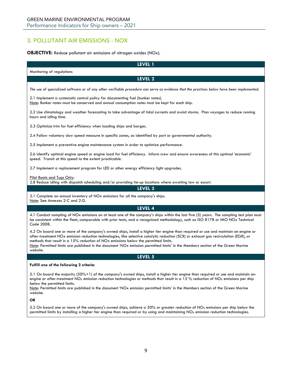# <span id="page-8-0"></span>3. POLLUTANT AIR EMISSIONS - NOX

# **OBJECTIVE:** Reduce pollutant air emissions of nitrogen oxides (NOx).

| <b>LEVEL 1</b>                                                                                                                                                                                                                                                                                                                                                                                                                                                                                                   |
|------------------------------------------------------------------------------------------------------------------------------------------------------------------------------------------------------------------------------------------------------------------------------------------------------------------------------------------------------------------------------------------------------------------------------------------------------------------------------------------------------------------|
| Monitoring of regulations                                                                                                                                                                                                                                                                                                                                                                                                                                                                                        |
| LEVEL 2                                                                                                                                                                                                                                                                                                                                                                                                                                                                                                          |
| The use of specialized software or of any other verifiable procedure can serve as evidence that the practices below have been implemented.                                                                                                                                                                                                                                                                                                                                                                       |
| 2.1 Implement a systematic control policy for documenting fuel (bunker notes).<br>Note: Bunker notes must be conserved and annual consumption notes must be kept for each ship.                                                                                                                                                                                                                                                                                                                                  |
| 2.2 Use climatology and weather forecasting to take advantage of tidal currents and avoid storms. Plan voyages to reduce running<br>hours and idling time.                                                                                                                                                                                                                                                                                                                                                       |
| 2.3 Optimize trim for fuel efficiency when loading ships and barges.                                                                                                                                                                                                                                                                                                                                                                                                                                             |
| 2.4 Follow voluntary slow speed measure in specific zones, as identified by port or governmental authority.                                                                                                                                                                                                                                                                                                                                                                                                      |
| 2.5 Implement a preventive engine maintenance system in order to optimize performance.                                                                                                                                                                                                                                                                                                                                                                                                                           |
| 2.6 Identify optimal engine speed or engine load for fuel efficiency. Inform crew and ensure awareness of this optimal 'economic'<br>speed. Transit at this speed to the extent practicable.                                                                                                                                                                                                                                                                                                                     |
| 2.7 Implement a replacement program for LED or other energy efficiency light upgrades.                                                                                                                                                                                                                                                                                                                                                                                                                           |
| Pilot Boats and Tugs Only:<br>2.8 Reduce idling with dispatch scheduling and/or providing tie-up locations where awaiting tow or escort.                                                                                                                                                                                                                                                                                                                                                                         |
| <b>LEVEL 3</b>                                                                                                                                                                                                                                                                                                                                                                                                                                                                                                   |
| 3.1 Complete an annual inventory of NOx emissions for all the company's ships.<br>Note: See Annexes 2-C and 2-D.                                                                                                                                                                                                                                                                                                                                                                                                 |
| LEVEL 4                                                                                                                                                                                                                                                                                                                                                                                                                                                                                                          |
| 4.1 Conduct sampling of NOx emissions on at least one of the company's ships within the last five (5) years. The sampling test plan must<br>be consistent within the fleet, comparable with prior tests, and a recognized methodology, such as ISO 8178 or IMO NOx Technical<br>Code 2008.                                                                                                                                                                                                                       |
| 4.2 On board one or more of the company's owned ships, install a higher tier engine than required or use and maintain on-engine or<br>after-treatment NOx emission reduction technologies, like selective catalytic reduction (SCR) or exhaust gas recirculation (EGR), or<br>methods that result in a 15% reduction of NOx emissions below the permitted limits.<br>Note: Permitted limits are published in the document 'NOx emission permitted limits' in the Members section of the Green Marine<br>website. |
| <b>LEVEL 5</b>                                                                                                                                                                                                                                                                                                                                                                                                                                                                                                   |
| Fulfill one of the following 2 criteria:                                                                                                                                                                                                                                                                                                                                                                                                                                                                         |
| 5.1 On board the majority (50%+1) of the company's owned ships, install a higher tier engine than required or use and maintain on-<br>engine or after-treatment NO <sub>X</sub> emission reduction technologies or methods that result in a 15 % reduction of NO <sub>X</sub> emissions per ship<br>below the permitted limits.<br>Note: Permitted limits are published in the document 'NOx emission permitted limits' in the Members section of the Green Marine<br>website.                                   |
| OR                                                                                                                                                                                                                                                                                                                                                                                                                                                                                                               |

5.2 On board one or more of the company's owned ships, achieve a 50% or greater reduction of NO<sub>X</sub> emissions per ship below the permitted limits by installing a higher tier engine than required or by using and maintaining  $NO_x$  emission reduction technologies.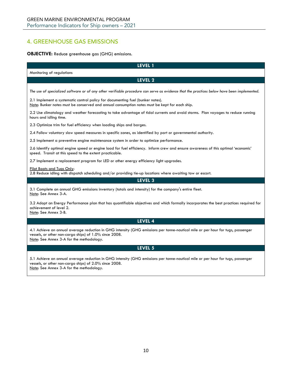# <span id="page-9-0"></span>4. GREENHOUSE GAS EMISSIONS

# **OBJECTIVE:** Reduce greenhouse gas (GHG) emissions.

| LEVEL 1                                                                                                                                                                                                                               |  |  |
|---------------------------------------------------------------------------------------------------------------------------------------------------------------------------------------------------------------------------------------|--|--|
| Monitoring of regulations                                                                                                                                                                                                             |  |  |
| <b>LEVEL 2</b>                                                                                                                                                                                                                        |  |  |
| The use of specialized software or of any other verifiable procedure can serve as evidence that the practices below have been implemented.                                                                                            |  |  |
| 2.1 Implement a systematic control policy for documenting fuel (bunker notes).<br>Note: Bunker notes must be conserved and annual consumption notes must be kept for each ship.                                                       |  |  |
| 2.2 Use climatology and weather forecasting to take advantage of tidal currents and avoid storms. Plan voyages to reduce running<br>hours and idling time.                                                                            |  |  |
| 2.3 Optimize trim for fuel efficiency when loading ships and barges.                                                                                                                                                                  |  |  |
| 2.4 Follow voluntary slow speed measures in specific zones, as identified by port or governmental authority.                                                                                                                          |  |  |
| 2.5 Implement a preventive engine maintenance system in order to optimize performance.                                                                                                                                                |  |  |
| 2.6 Identify optimal engine speed or engine load for fuel efficiency. Inform crew and ensure awareness of this optimal 'economic'<br>speed. Transit at this speed to the extent practicable.                                          |  |  |
| 2.7 Implement a replacement program for LED or other energy efficiency light upgrades.                                                                                                                                                |  |  |
| Pilot Boats and Tugs Only:<br>2.8 Reduce idling with dispatch scheduling and/or providing tie-up locations where awaiting tow or escort.                                                                                              |  |  |
| LEVEL 3                                                                                                                                                                                                                               |  |  |
| 3.1 Complete an annual GHG emissions inventory (totals and intensity) for the company's entire fleet.<br>Note: See Annex 3-A.                                                                                                         |  |  |
| 3.2 Adopt an Energy Performance plan that has quantifiable objectives and which formally incorporates the best practices required for<br>achievement of level 2.<br>Note: See Annex 3-B.                                              |  |  |
| LEVEL 4                                                                                                                                                                                                                               |  |  |
| 4.1 Achieve an annual average reduction in GHG intensity (GHG emissions per tonne-nautical mile or per hour for tugs, passenger<br>vessels, or other non-cargo ships) of 1.0% since 2008.<br>Note: See Annex 3-A for the methodology. |  |  |
| LEVEL 5                                                                                                                                                                                                                               |  |  |
| 5.1 Achieve an annual average reduction in GHG intensity (GHG emissions per tonne-nautical mile or per hour for tugs, passenger<br>vessels, or other non-cargo ships) of 2.0% since 2008.<br>Note: See Annex 3-A for the methodology. |  |  |
|                                                                                                                                                                                                                                       |  |  |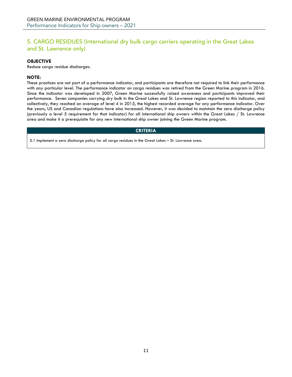# <span id="page-10-0"></span>5. CARGO RESIDUES (International dry bulk cargo carriers operating in the Great Lakes and St. Lawrence only)

# **OBJECTIVE**

Reduce cargo residue discharges.

# **NOTE:**

These practices are not part of a performance indicator, and participants are therefore not required to link their performance with any particular level. The performance indicator on cargo residues was retired from the Green Marine program in 2016. Since the indicator was developed in 2007, Green Marine successfully raised awareness and participants improved their performance. Seven companies carrying dry bulk in the Great Lakes and St. Lawrence region reported to this indicator, and collectively, they reached an average of level 4 in 2015, the highest recorded average for any performance indicator. Over the years, US and Canadian regulations have also increased. However, it was decided to maintain the zero discharge policy (previously a level 5 requirement for that indicator) for all international ship owners within the Great Lakes / St. Lawrence area and make it a prerequisite for any new international ship owner joining the Green Marine program.

# **CRITERIA**

5.1 Implement a zero discharge policy for all cargo residues in the Great Lakes – St. Lawrence area.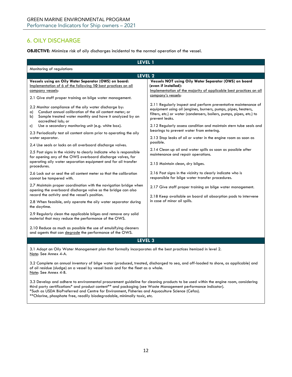# <span id="page-11-0"></span>6. OILY DISCHARGE

**OBJECTIVE:** Minimize risk of oily discharges incidental to the normal operation of the vessel.

| Monitoring of regulations<br>LEVEL <sub>2</sub><br>Vessels using an Oily Water Separator (OWS) on board:<br>Vessels NOT using Oily Water Separator (OWS) on board<br>Implementation of 6 of the following 10 best practices on all<br>(even if installed):<br>company vessels:<br>company's vessels:<br>2.1 Give staff proper training on bilge water management.<br>2.2 Monitor compliance of the oily water discharge by:<br>equipment using oil (engines, burners, pumps, pipes, heaters,<br>Conduct annual calibration of the oil content meter; or<br>a)<br>filters, etc.) or water (condensers, boilers, pumps, pipes, etc.) to<br>Sample treated water monthly and have it analyzed by an<br>b)<br>prevent leaks.<br>accredited lab; or<br>Use a secondary monitoring unit (e.g. white box).<br>C)<br>bearings to prevent water from entering.<br>2.3 Periodically test oil content alarm prior to operating the oily<br>2.13 Stop leaks of oil or water in the engine room as soon as<br>water separator.<br>possible.<br>2.4 Use seals or locks on all overboard discharge valves.<br>2.14 Clean up oil and water spills as soon as possible after<br>2.5 Post signs in the vicinity to clearly indicate who is responsible<br>maintenance and repair operations.<br>for opening any of the OWS overboard discharge valves, for<br>operating oily water separation equipment and for oil transfer<br>2.15 Maintain clean, dry bilges.<br>procedures.<br>2.16 Post signs in the vicinity to clearly indicate who is<br>2.6 Lock out or seal the oil content meter so that the calibration<br>responsible for bilge water transfer procedures.<br>cannot be tampered with.<br>2.7 Maintain proper coordination with the navigation bridge when<br>2.17 Give staff proper training on bilge water management.<br>opening the overboard discharge valve so the bridge can also<br>record the activity and the vessel's position.<br>2.18 Keep available on board oil absorption pads to intervene<br>in case of minor oil spills.<br>2.8 When feasible, only operate the oily water separator during<br>the daytime.<br>2.9 Regularly clean the applicable bilges and remove any solid<br>material that may reduce the performance of the OWS.<br>2.10 Reduce as much as possible the use of emulsifying cleaners<br>and agents that can degrade the performance of the OWS. | LEVEL 1 |                                                                                                                                      |
|-----------------------------------------------------------------------------------------------------------------------------------------------------------------------------------------------------------------------------------------------------------------------------------------------------------------------------------------------------------------------------------------------------------------------------------------------------------------------------------------------------------------------------------------------------------------------------------------------------------------------------------------------------------------------------------------------------------------------------------------------------------------------------------------------------------------------------------------------------------------------------------------------------------------------------------------------------------------------------------------------------------------------------------------------------------------------------------------------------------------------------------------------------------------------------------------------------------------------------------------------------------------------------------------------------------------------------------------------------------------------------------------------------------------------------------------------------------------------------------------------------------------------------------------------------------------------------------------------------------------------------------------------------------------------------------------------------------------------------------------------------------------------------------------------------------------------------------------------------------------------------------------------------------------------------------------------------------------------------------------------------------------------------------------------------------------------------------------------------------------------------------------------------------------------------------------------------------------------------------------------------------------------------------------------------------------------------------------------------------------------------------|---------|--------------------------------------------------------------------------------------------------------------------------------------|
|                                                                                                                                                                                                                                                                                                                                                                                                                                                                                                                                                                                                                                                                                                                                                                                                                                                                                                                                                                                                                                                                                                                                                                                                                                                                                                                                                                                                                                                                                                                                                                                                                                                                                                                                                                                                                                                                                                                                                                                                                                                                                                                                                                                                                                                                                                                                                                                   |         |                                                                                                                                      |
|                                                                                                                                                                                                                                                                                                                                                                                                                                                                                                                                                                                                                                                                                                                                                                                                                                                                                                                                                                                                                                                                                                                                                                                                                                                                                                                                                                                                                                                                                                                                                                                                                                                                                                                                                                                                                                                                                                                                                                                                                                                                                                                                                                                                                                                                                                                                                                                   |         |                                                                                                                                      |
|                                                                                                                                                                                                                                                                                                                                                                                                                                                                                                                                                                                                                                                                                                                                                                                                                                                                                                                                                                                                                                                                                                                                                                                                                                                                                                                                                                                                                                                                                                                                                                                                                                                                                                                                                                                                                                                                                                                                                                                                                                                                                                                                                                                                                                                                                                                                                                                   |         | Implementation of the majority of applicable best practices on all<br>2.11 Regularly inspect and perform preventative maintenance of |
|                                                                                                                                                                                                                                                                                                                                                                                                                                                                                                                                                                                                                                                                                                                                                                                                                                                                                                                                                                                                                                                                                                                                                                                                                                                                                                                                                                                                                                                                                                                                                                                                                                                                                                                                                                                                                                                                                                                                                                                                                                                                                                                                                                                                                                                                                                                                                                                   |         | 2.12 Regularly assess condition and maintain stern tube seals and                                                                    |
| LEVEL <sub>3</sub>                                                                                                                                                                                                                                                                                                                                                                                                                                                                                                                                                                                                                                                                                                                                                                                                                                                                                                                                                                                                                                                                                                                                                                                                                                                                                                                                                                                                                                                                                                                                                                                                                                                                                                                                                                                                                                                                                                                                                                                                                                                                                                                                                                                                                                                                                                                                                                |         |                                                                                                                                      |

3.1 Adopt an Oily Water Management plan that formally incorporates all the best practices itemized in level 2. Note: See Annex 4-A.

3.2 Complete an annual inventory of bilge water (produced, treated, discharged to sea, and off-loaded to shore, as applicable) and of oil residue (sludge) on a vessel by vessel basis and for the fleet as a whole. Note: See Annex 4-B.

3.3 Develop and adhere to environmental procurement guideline for cleaning products to be used within the engine room, considering third party certifications\* and product content\*\* and packaging (see Waste Management performance indicator). \*Such as USDA BioPreferred and Centre for Environment, Fisheries and Aquaculture Science (Cefas). \*\*Chlorine, phosphate free, readily biodegradable, minimally toxic, etc.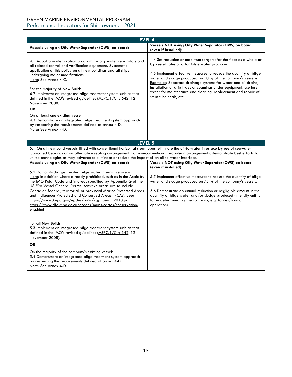# GREEN MARINE ENVIRONMENTAL PROGRAM Performance Indicators for Ship owners – 2021

| LEVEL 4                                                                                                                                                                                                                                                                                                                                                                                                                                                                                                                                                                                                                                              |                                                                                                                                                                                                                                                                                                                                                                                                                                                                                       |
|------------------------------------------------------------------------------------------------------------------------------------------------------------------------------------------------------------------------------------------------------------------------------------------------------------------------------------------------------------------------------------------------------------------------------------------------------------------------------------------------------------------------------------------------------------------------------------------------------------------------------------------------------|---------------------------------------------------------------------------------------------------------------------------------------------------------------------------------------------------------------------------------------------------------------------------------------------------------------------------------------------------------------------------------------------------------------------------------------------------------------------------------------|
| Vessels using an Oily Water Separator (OWS) on board:                                                                                                                                                                                                                                                                                                                                                                                                                                                                                                                                                                                                | Vessels NOT using Oily Water Separator (OWS) on board<br>(even if installed):                                                                                                                                                                                                                                                                                                                                                                                                         |
| 4.1 Adopt a modernization program for oily water separators and<br>all related control and verification equipment. Systematic<br>application of this policy on all new buildings and all ships<br>undergoing major modifications.<br>Note: See Annex 4-C.<br>For the majority of New Builds:<br>4.2 Implement an integrated bilge treatment system such as that<br>defined in the IMO's revised guidelines (MEPC.1/Circ.642, 12<br>November 2008).<br><b>OR</b><br>On at least one existing vessel:<br>4.3 Demonstrate an integrated bilge treatment system approach<br>by respecting the requirements defined at annex 4-D.<br>Note: See Annex 4-D. | 4.4 Set reduction or maximum targets (for the fleet as a whole or<br>by vessel category) for bilge water produced.<br>4.5 Implement effective measures to reduce the quantity of bilge<br>water and sludge produced on 50 % of the company's vessels.<br>Examples: Separate drainage systems for water and oil drains,<br>installation of drip trays or coamings under equipment, use less<br>water for maintenance and cleaning, replacement and repair of<br>stern tube seals, etc. |
| LEVEL 5                                                                                                                                                                                                                                                                                                                                                                                                                                                                                                                                                                                                                                              |                                                                                                                                                                                                                                                                                                                                                                                                                                                                                       |
| 5.1 On all new build vessels fitted with conventional horizontal stern tubes, eliminate the oil-to-water interface by use of seawater<br>lubricated bearings or an alternative sealing arrangement. For non-conventional propulsion arrangements, demonstrate best efforts to<br>utilize technologies as they advance to eliminate or reduce the impact of an oil-to-water interface.<br>Vessels using an Oily Water Separator (OWS) on board:                                                                                                                                                                                                       | Vessels NOT using Oily Water Separator (OWS) on board<br>(even if installed):                                                                                                                                                                                                                                                                                                                                                                                                         |
| 5.2 Do not discharge treated bilge water in sensitive areas.<br>Note: In addition where already prohibited, such as in the Arctic by<br>the IMO Polar Code and in areas specified by Appendix G of the<br>US EPA Vessel General Permit; sensitive areas are to include<br>Canadian federal, territorial, or provincial Marine Protected Areas<br>and Indigenous Protected and Conserved Areas (IPCAs). See:<br>https://www3.epa.gov/npdes/pubs/vgp_permit2013.pdf<br>https://www.dfo-mpo.ac.ca/oceans/maps-cartes/conservation-<br>eng.html                                                                                                          | 5.5 Implement effective measures to reduce the quantity of bilge<br>water and sludge produced on 75 % of the company's vessels.<br>5.6 Demonstrate an annual reduction or negligible amount in the<br>quantity of bilge water and/or sludge produced (intensity unit is<br>to be determined by the company, e.g. tonnes/hour of<br>operation).                                                                                                                                        |
| For all New Builds:<br>5.3 Implement an integrated bilge treatment system such as that<br>defined in the IMO's revised guidelines (MEPC.1/Circ.642, 12<br>November 2008).<br><b>OR</b><br>On the majority of the company's existing vessels:<br>5.4 Demonstrate an integrated bilge treatment system approach<br>by respecting the requirements defined at annex 4-D.<br>Note: See Annex 4-D.                                                                                                                                                                                                                                                        |                                                                                                                                                                                                                                                                                                                                                                                                                                                                                       |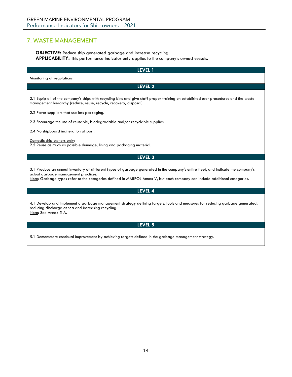# <span id="page-13-0"></span>7. WASTE MANAGEMENT

**OBJECTIVE:** Reduce ship generated garbage and increase recycling. **APPLICABILITY:** This performance indicator only applies to the company's owned vessels.

| LEVEL 1                                                                                                                                                                                                                                                                                                 |
|---------------------------------------------------------------------------------------------------------------------------------------------------------------------------------------------------------------------------------------------------------------------------------------------------------|
| Monitoring of regulations                                                                                                                                                                                                                                                                               |
| LEVEL 2                                                                                                                                                                                                                                                                                                 |
| 2.1 Equip all of the company's ships with recycling bins and give staff proper training on established user procedures and the waste<br>management hierarchy (reduce, reuse, recycle, recovery, disposal).                                                                                              |
| 2.2 Favor suppliers that use less packaging.                                                                                                                                                                                                                                                            |
| 2.3 Encourage the use of reusable, biodegradable and/or recyclable supplies.                                                                                                                                                                                                                            |
| 2.4 No shipboard incineration at port.                                                                                                                                                                                                                                                                  |
| Domestic ship owners only:<br>2.5 Reuse as much as possible dunnage, lining and packaging material.                                                                                                                                                                                                     |
| LEVEL 3                                                                                                                                                                                                                                                                                                 |
| 3.1 Produce an annual inventory of different types of garbage generated in the company's entire fleet, and indicate the company's<br>actual garbage management practices.<br>Note: Garbage types refer to the categories defined in MARPOL Annex V, but each company can include additional categories. |
| LEVEL 4                                                                                                                                                                                                                                                                                                 |
| 4.1 Develop and implement a garbage management strategy defining targets, tools and measures for reducing garbage generated,<br>reducing discharge at sea and increasing recycling.<br>Note: See Annex 5-A.                                                                                             |
| LEVEL 5                                                                                                                                                                                                                                                                                                 |
| 5.1 Demonstrate continual improvement by achieving targets defined in the garbage management strategy.                                                                                                                                                                                                  |
|                                                                                                                                                                                                                                                                                                         |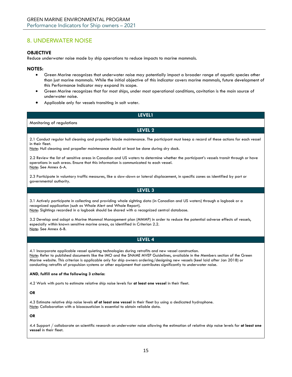# <span id="page-14-0"></span>8. UNDERWATER NOISE

# **OBJECTIVE**

Reduce underwater noise made by ship operations to reduce impacts to marine mammals.

# **NOTES:**

- Green Marine recognizes that underwater noise may potentially impact a broader range of aquatic species other than just marine mammals. While the initial objective of this indicator covers marine mammals, future development of this Performance Indicator may expand its scope.
- Green Marine recognizes that for most ships, under most operational conditions, cavitation is the main source of underwater noise.
- Applicable only for vessels transiting in salt water.

# **LEVEL1**

# Monitoring of regulations

**LEVEL 2**

2.1 Conduct regular hull cleaning and propeller blade maintenance. The participant must keep a record of these actions for each vessel in their fleet.

Note: Hull cleaning and propeller maintenance should at least be done during dry dock.

2.2 Review the list of sensitive areas in Canadian and US waters to determine whether the participant's vessels transit through or have operations in such areas. Ensure that this information is communicated to each vessel. Note: See Annex 6-A.

2.3 Participate in voluntary traffic measures, like a slow-down or lateral displacement, in specific zones as identified by port or governmental authority.

# **LEVEL 3**

3.1 Actively participate in collecting and providing whale sighting data (in Canadian and US waters) through a logbook or a recognized application (such as Whale Alert and Whale Report).

Note: Sightings recorded in a logbook should be shared with a recognized central database.

3.2 Develop and adopt a Marine Mammal Management plan (MMMP) in order to reduce the potential adverse effects of vessels, especially within known sensitive marine areas, as identified in Criterion 2.2. Note: See Annex 6-B.

# **LEVEL 4**

4.1 Incorporate applicable vessel quieting technologies during retrofits and new vessel construction. Note: Refer to published documents like the IMO and the SNAME MVEP Guidelines, available in the Members section of the Green Marine website. This criterion is applicable only for ship owners ordering/designing new vessels (keel laid after Jan 2018) or conducting retrofits of propulsion systems or other equipment that contributes significantly to underwater noise.

# **AND, fulfill one of the following 3 criteria:**

4.2 Work with ports to estimate relative ship noise levels for **at least one vessel** in their fleet.

# **OR**

4.3 Estimate relative ship noise levels **of at least one vessel** in their fleet by using a dedicated hydrophone. Note: Collaboration with a bioacoustician is essential to obtain reliable data.

# **OR**

4.4 Support / collaborate on scientific research on underwater noise allowing the estimation of relative ship noise levels for **at least one vessel** in their fleet.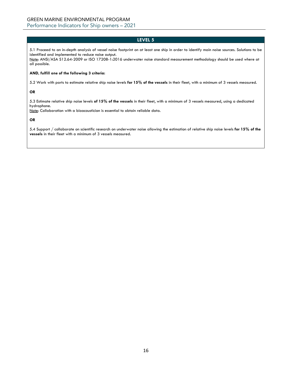5.1 Proceed to an in-depth analysis of vessel noise footprint on at least one ship in order to identify main noise sources. Solutions to be identified and implemented to reduce noise output.

Note: ANSI/ASA S12.64-2009 or ISO 17208-1:2016 underwater noise standard measurement methodology should be used where at all possible.

# **AND, fulfill one of the following 3 criteria:**

5.2 Work with ports to estimate relative ship noise levels **for 15% of the vessels** in their fleet, with a minimum of 3 vessels measured.

# **OR**

5.3 Estimate relative ship noise levels **of 15% of the vessels** in their fleet, with a minimum of 3 vessels measured, using a dedicated hydrophone.

Note: Collaboration with a bioacoustician is essential to obtain reliable data.

# **OR**

5.4 Support / collaborate on scientific research on underwater noise allowing the estimation of relative ship noise levels **for 15% of the vessels** in their fleet with a minimum of 3 vessels measured.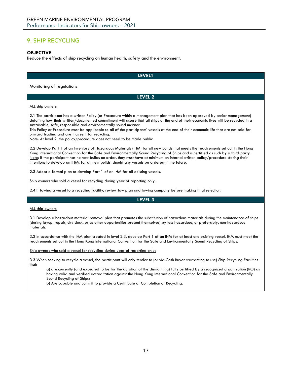# <span id="page-16-0"></span>9. SHIP RECYCLING

# **OBJECTIVE**

Reduce the effects of ship recycling on human health, safety and the environment.

| <b>LEVEL1</b>                                                                                                                                                                                                                                                                                                                                                                                                                                                                                                                                                                                                      |
|--------------------------------------------------------------------------------------------------------------------------------------------------------------------------------------------------------------------------------------------------------------------------------------------------------------------------------------------------------------------------------------------------------------------------------------------------------------------------------------------------------------------------------------------------------------------------------------------------------------------|
| Monitoring of regulations                                                                                                                                                                                                                                                                                                                                                                                                                                                                                                                                                                                          |
| LEVEL 2                                                                                                                                                                                                                                                                                                                                                                                                                                                                                                                                                                                                            |
|                                                                                                                                                                                                                                                                                                                                                                                                                                                                                                                                                                                                                    |
| ALL ship owners:                                                                                                                                                                                                                                                                                                                                                                                                                                                                                                                                                                                                   |
| 2.1 The participant has a written Policy (or Procedure within a management plan that has been approved by senior management)<br>detailing how their written/documented commitment will assure that all ships at the end of their economic lives will be recycled in a<br>sustainable, safe, responsible and environmentally sound manner.<br>This Policy or Procedure must be applicable to all of the participants' vessels at the end of their economic life that are not sold for<br>onward trading and are thus sent for recycling.<br>Note: At level 2, the policy/procedure does not need to be made public. |
| 2.2 Develop Part 1 of an Inventory of Hazardous Materials (IHM) for all new builds that meets the requirements set out in the Hong<br>Kong International Convention for the Safe and Environmentally Sound Recycling of Ships and is certified as such by a third party.<br>Note: If the participant has no new builds on order, they must have at minimum an internal written policy/procedure stating their<br>intentions to develop an IHMs for all new builds, should any vessels be ordered in the future.                                                                                                    |
| 2.3 Adopt a formal plan to develop Part 1 of an IHM for all existing vessels.                                                                                                                                                                                                                                                                                                                                                                                                                                                                                                                                      |
| Ship owners who sold a vessel for recycling during year of reporting only:                                                                                                                                                                                                                                                                                                                                                                                                                                                                                                                                         |
| 2.4 If towing a vessel to a recycling facility, review tow plan and towing company before making final selection.                                                                                                                                                                                                                                                                                                                                                                                                                                                                                                  |
| LEVEL 3                                                                                                                                                                                                                                                                                                                                                                                                                                                                                                                                                                                                            |
| ALL ship owners:                                                                                                                                                                                                                                                                                                                                                                                                                                                                                                                                                                                                   |
| 3.1 Develop a hazardous material removal plan that promotes the substitution of hazardous materials during the maintenance of ships<br>(during layup, repair, dry dock, or as other opportunities present themselves) by less hazardous, or preferably, non-hazardous<br>materials.                                                                                                                                                                                                                                                                                                                                |
| 3.2 In accordance with the IHM plan created in level 2.3, develop Part 1 of an IHM for at least one existing vessel. IHM must meet the<br>requirements set out in the Hong Kong International Convention for the Safe and Environmentally Sound Recycling of Ships.                                                                                                                                                                                                                                                                                                                                                |
| Ship owners who sold a vessel for recycling during year of reporting only:                                                                                                                                                                                                                                                                                                                                                                                                                                                                                                                                         |
| 3.3 When seeking to recycle a vessel, the participant will only tender to (or via Cash Buyer warranting to use) Ship Recycling Facilities<br>that:                                                                                                                                                                                                                                                                                                                                                                                                                                                                 |
| a) are currently (and expected to be for the duration of the dismantling) fully certified by a recognized organization (RO) as<br>having valid and verified accreditation against the Hong Kong International Convention for the Safe and Environmentally<br>Sound Recycling of Ships:                                                                                                                                                                                                                                                                                                                             |
| b) Are capable and commit to provide a Certificate of Completion of Recycling.                                                                                                                                                                                                                                                                                                                                                                                                                                                                                                                                     |